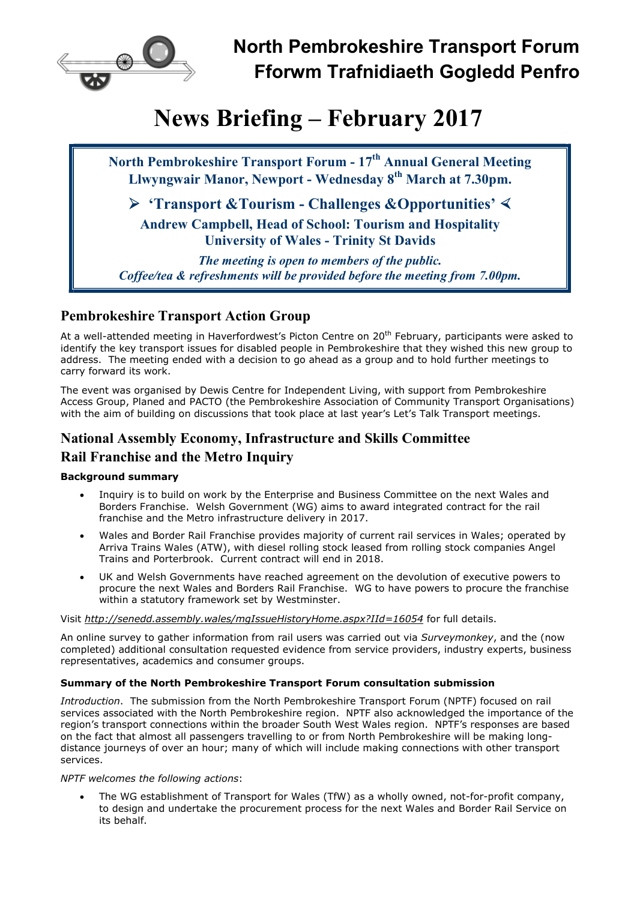

# News Briefing – February 2017

North Pembrokeshire Transport Forum - 17<sup>th</sup> Annual General Meeting Llwyngwair Manor, Newport - Wednesday 8th March at 7.30pm.

 $\triangleright$  'Transport &Tourism - Challenges &Opportunities'  $\triangleleft$ 

Andrew Campbell, Head of School: Tourism and Hospitality University of Wales - Trinity St Davids

The meeting is open to members of the public. Coffee/tea & refreshments will be provided before the meeting from 7.00pm.

## Pembrokeshire Transport Action Group

At a well-attended meeting in Haverfordwest's Picton Centre on 20<sup>th</sup> February, participants were asked to identify the key transport issues for disabled people in Pembrokeshire that they wished this new group to address. The meeting ended with a decision to go ahead as a group and to hold further meetings to carry forward its work.

The event was organised by Dewis Centre for Independent Living, with support from Pembrokeshire Access Group, Planed and PACTO (the Pembrokeshire Association of Community Transport Organisations) with the aim of building on discussions that took place at last year's Let's Talk Transport meetings.

# National Assembly Economy, Infrastructure and Skills Committee Rail Franchise and the Metro Inquiry

## Background summary

- Inquiry is to build on work by the Enterprise and Business Committee on the next Wales and Borders Franchise. Welsh Government (WG) aims to award integrated contract for the rail franchise and the Metro infrastructure delivery in 2017.
- Wales and Border Rail Franchise provides majority of current rail services in Wales; operated by Arriva Trains Wales (ATW), with diesel rolling stock leased from rolling stock companies Angel Trains and Porterbrook. Current contract will end in 2018.
- UK and Welsh Governments have reached agreement on the devolution of executive powers to procure the next Wales and Borders Rail Franchise. WG to have powers to procure the franchise within a statutory framework set by Westminster.

## Visit http://senedd.assembly.wales/mgIssueHistoryHome.aspx?IId=16054 for full details.

An online survey to gather information from rail users was carried out via Surveymonkey, and the (now completed) additional consultation requested evidence from service providers, industry experts, business representatives, academics and consumer groups.

## Summary of the North Pembrokeshire Transport Forum consultation submission

Introduction. The submission from the North Pembrokeshire Transport Forum (NPTF) focused on rail services associated with the North Pembrokeshire region. NPTF also acknowledged the importance of the region's transport connections within the broader South West Wales region. NPTF's responses are based on the fact that almost all passengers travelling to or from North Pembrokeshire will be making longdistance journeys of over an hour; many of which will include making connections with other transport services.

## NPTF welcomes the following actions:

 The WG establishment of Transport for Wales (TfW) as a wholly owned, not-for-profit company, to design and undertake the procurement process for the next Wales and Border Rail Service on its behalf.